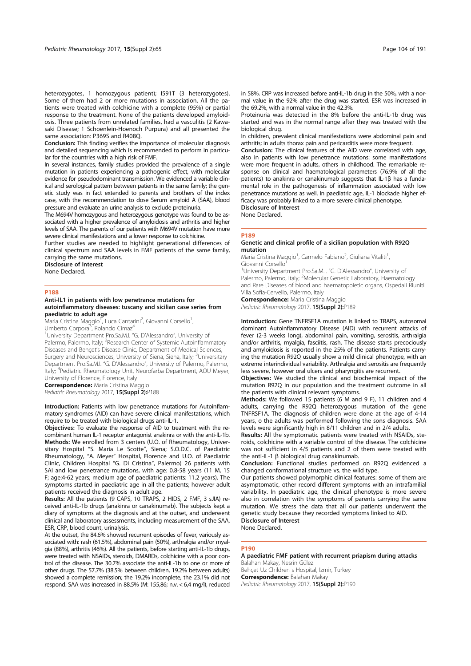heterozygotes, 1 homozygous patient); I591T (3 heterozygotes). Some of them had 2 or more mutations in association. All the patients were treated with colchicine with a complete (95%) or partial response to the treatment. None of the patients developed amyloidosis. Three patients from unrelated families, had a vasculitis (2 Kawasaki Disease; 1 Schoenlein-Hoenoch Purpura) and all presented the same association: P369S and R408Q.

Conclusion: This finding verifies the importance of molecular diagnosis and detailed sequencing which is recommended to perform in particular for the countries with a high risk of FMF.

In several instances, family studies provided the prevalence of a single mutation in patients experiencing a pathogenic effect, with molecular evidence for pseudodominant transmission. We evidenced a variable clinical and serological pattern between patients in the same family; the genetic study was in fact extended to parents and brothers of the index case, with the recommendation to dose Serum amyloid A (SAA), blood pressure and evaluate an urine analysis to exclude proteinuria.

The M694V homozygous and heterozygous genotype was found to be associated with a higher prevalence of amyloidosis and arthritis and higher levels of SAA. The parents of our patients with M694V mutation have more severe clinical manifestations and a lower response to colchicine.

Further studies are needed to highlight generational differences of clinical spectrum and SAA levels in FMF patients of the same family, carrying the same mutations.

Disclosure of Interest None Declared.

#### P188

### Anti-IL1 in patients with low penetrance mutations for autoinflammatory diseases: tuscany and sicilian case series from paediatric to adult age

**Maria Cristina Maggio<sup>1</sup>, Luca Cantarini<sup>2</sup>, Giovanni Corsello<sup>1</sup>** , Umberto Corpora<sup>3</sup>, Rolando Cimaz<sup>4</sup>

<sup>1</sup>University Department Pro.Sa.M.I. "G. D'Alessandro", University of Palermo, Palermo, Italy; <sup>2</sup>Research Center of Systemic Autoinflammatory Diseases and Behçet's Disease Clinic, Department of Medical Sciences, Surgery and Neurosciences, University of Siena, Siena, Italy; <sup>3</sup>Universitary Department Pro.Sa.M.I. "G. D'Alessandro", University of Palermo, Palermo, Italy; <sup>4</sup>Pediatric Rheumatology Unit, Neurofarba Department, AOU Meyer, University of Florence, Florence, Italy

**Correspondence:** Maria Cristina Maggio Pediatric Rheumatology 2017, 15(Suppl 2):P188

Introduction: Patients with low penetrance mutations for Autoinflammatory syndromes (AID) can have severe clinical manifestations, which require to be treated with biological drugs anti-IL-1.

Objectives: To evaluate the response of AID to treatment with the recombinant human IL-1 receptor antagonist anakinra or with the anti-IL-1b. Methods: We enrolled from 3 centers (U.O. of Rheumatology, Universitary Hospital "S. Maria Le Scotte", Siena; S.O.D.C. of Paediatric Rheumatology, "A. Meyer" Hospital, Florence and U.O. of Paediatric Clinic, Children Hospital "G. Di Cristina", Palermo) 26 patients with SAI and low penetrance mutations, with age: 0.8-58 years (11 M, 15 F; age:4-62 years; medium age of paediatric patients: 11.2 years). The symptoms started in paediatric age in all the patients; however adult patients received the diagnosis in adult age.

Results: All the patients (9 CAPS, 10 TRAPS, 2 HIDS, 2 FMF, 3 sJIA) received anti-IL-1b drugs (anakinra or canakinumab). The subjects kept a diary of symptoms at the diagnosis and at the outset, and underwent clinical and laboratory assessments, including measurement of the SAA, ESR, CRP, blood count, urinalysis.

At the outset, the 84.6% showed recurrent episodes of fever, variously associated with: rash (61.5%), abdominal pain (50%), arthralgia and/or myalgia (88%), arthritis (46%). All the patients, before starting anti-IL-1b drugs, were treated with NSAIDs, steroids, DMARDs, colchicine with a poor control of the disease. The 30.7% associate the anti-IL-1b to one or more of other drugs. The 57.7% (38.5% between children, 19.2% between adults) showed a complete remission; the 19.2% incomplete, the 23.1% did not respond. SAA was increased in 88.5% (M: 155,86; n.v. < 6,4 mg/l), reduced in 58%. CRP was increased before anti-IL-1b drug in the 50%, with a normal value in the 92% after the drug was started. ESR was increased in the 69.2%, with a normal value in the 42.3%.

Proteinuria was detected in the 8% before the anti-IL-1b drug was started and was in the normal range after they was treated with the biological drug.

In children, prevalent clinical manifestations were abdominal pain and arthritis; in adults thorax pain and pericarditis were more frequent.

Conclusion: The clinical features of the AID were correlated with age, also in patients with low penetrance mutations: some manifestations were more frequent in adults, others in childhood. The remarkable response on clinical and haematological parameters (76.9% of all the patients) to anakinra or canakinumab suggests that IL-1β has a fundamental role in the pathogenesis of inflammation associated with low penetrance mutations as well. In paediatric age, IL-1 blockade higher efficacy was probably linked to a more severe clinical phenotype. Disclosure of Interest

None Declared.

#### P189

## Genetic and clinical profile of a sicilian population with R92Q mutation

Maria Cristina Maggio<sup>1</sup>, Carmelo Fabiano<sup>2</sup>, Giuliana Vitaliti<sup>1</sup> , Giovanni Corsello<sup>1</sup>

<sup>1</sup>University Department Pro.Sa.M.I. "G. D'Alessandro", University of Palermo, Palermo, Italy; <sup>2</sup>Molecular Genetic Laboratory, Haematology and Rare Diseases of blood and haematopoietic organs, Ospedali Riuniti Villa Sofia-Cervello, Palermo, Italy

**Correspondence: Maria Cristina Maggio** Pediatric Rheumatology 2017, 15(Suppl 2):P189

Introduction: Gene TNFRSF1A mutation is linked to TRAPS, autosomal dominant Autoinflammatory Disease (AID) with recurrent attacks of fever (2-3 weeks long), abdominal pain, vomiting, serositis, arthralgia and/or arthritis, myalgia, fasciitis, rash. The disease starts precociously and amyloidosis is reported in the 25% of the patients. Patients carrying the mutation R92Q usually show a mild clinical phenotype, with an extreme interindividual variability. Arthralgia and serositis are frequently less severe, however oral ulcers and pharyngitis are recurrent.

Objectives: We studied the clinical and biochemical impact of the mutation R92Q in our population and the treatment outcome in all the patients with clinical relevant symptoms.

Methods: We followed 15 patients (6 M and 9 F), 11 children and 4 adults, carrying the R92Q heterozygous mutation of the gene TNFRSF1A. The diagnosis of children were done at the age of 4-14 years, o the adults was performed following the sons diagnosis. SAA levels were significantly high in 8/11 children and in 2/4 adults.

Results: All the symptomatic patients were treated with NSAIDs, steroids, colchicine with a variable control of the disease. The colchicine was not sufficient in 4/5 patients and 2 of them were treated with the anti-IL-1 β biological drug canakinumab.

Conclusion: Functional studies performed on R92Q evidenced a changed conformational structure vs. the wild type.

Our patients showed polymorphic clinical features: some of them are asymptomatic, other record different symptoms with an intrafamilial variability. In paediatric age, the clinical phenotype is more severe also in correlation with the symptoms of parents carrying the same mutation. We stress the data that all our patients underwent the genetic study because they recorded symptoms linked to AID. Disclosure of Interest

None Declared.

# P190

## A paediatric FMF patient with recurrent priapism during attacks Balahan Makay, Nesrin Gülez

Behçet Uz Children s Hospital, Izmir, Turkey Correspondence: Balahan Makay Pediatric Rheumatology 2017, 15(Suppl 2):P190